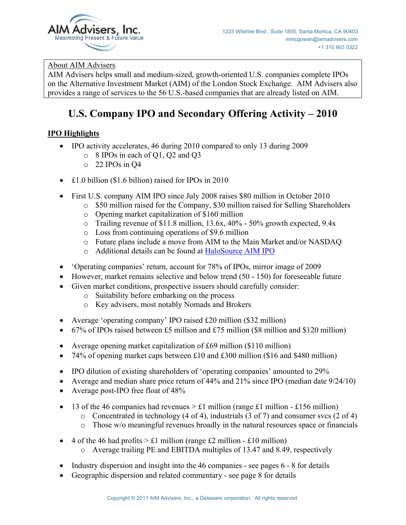

# About AIM Advisers

AIM Advisers helps small and medium-sized, growth-oriented U.S. companies complete IPOs on the Alternative Investment Market (AIM) of the London Stock Exchange. AIM Advisers also provides a range of services to the 56 U.S.-based companies that are already listed on AIM.

# **U.S. Company IPO and Secondary Offering Activity – 2010**

# **IPO Highlights**

- $\bullet$  IPO activity accelerates, 46 during 2010 compared to only 13 during 2009
	- o 8 IPOs in each of Q1, Q2 and Q3
	- o 22 IPOs in Q4
- £1.0 billion (\$1.6 billion) raised for IPOs in 2010
- First U.S. company AIM IPO since July 2008 raises \$80 million in October 2010
	- o \$50 million raised for the Company, \$30 million raised for Selling Shareholders
		- o Opening market capitalization of \$160 million
		- o Trailing revenue of \$11.8 million, 13.6x, 40% 50% growth expected, 9.4x
		- o Loss from continuing operations of \$9.6 million
		- o Future plans include a move from AIM to the Main Market and/or NASDAQ
		- o Additional details can be found at HaloSource AIM IPO
- 'Operating companies' return, account for 78% of IPOs, mirror image of 2009
- $\bullet$  However, market remains selective and below trend (50 150) for foreseeable future
- Given market conditions, prospective issuers should carefully consider:
	- o Suitability before embarking on the process
	- o Key advisers, most notably Nomads and Brokers
- Average 'operating company' IPO raised  $£20$  million (\$32 million)
- $\bullet$  67% of IPOs raised between £5 million and £75 million (\$8 million and \$120 million)
- Average opening market capitalization of  $£69$  million (\$110 million)
- 74% of opening market caps between £10 and £300 million (\$16 and \$480 million)
- IPO dilution of existing shareholders of 'operating companies' amounted to 29%
- Average and median share price return of  $44\%$  and  $21\%$  since IPO (median date  $9/24/10$ )
- Average post-IPO free float of  $48\%$
- 13 of the 46 companies had revenues  $> \pounds 1$  million (range  $\pounds 1$  million  $\pounds 156$  million)
	- o Concentrated in technology (4 of 4), industrials (3 of 7) and consumer svcs (2 of 4)
	- $\circ$  Those w/o meaningful revenues broadly in the natural resources space or financials
- 4 of the 46 had profits  $> \pounds 1$  million (range  $\pounds 2$  million  $\pounds 10$  million)
	- o Average trailing PE and EBITDA multiples of 13.47 and 8.49, respectively
- Industry dispersion and insight into the 46 companies see pages  $6 8$  for details
- Geographic dispersion and related commentary see page 8 for details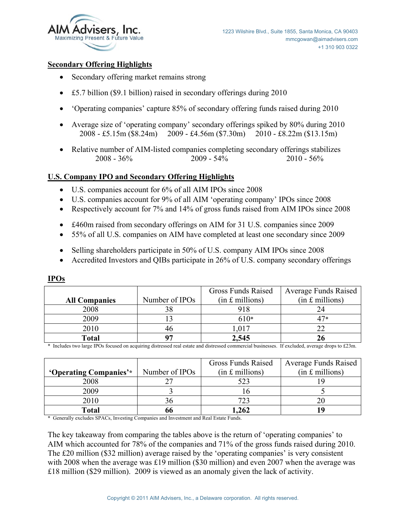

#### **Secondary Offering Highlights**

- Secondary offering market remains strong
- $\bullet$  £5.7 billion (\$9.1 billion) raised in secondary offerings during 2010
- 'Operating companies' capture 85% of secondary offering funds raised during 2010
- Average size of 'operating company' secondary offerings spiked by 80% during 2010 2008 - £5.15m (\$8.24m) 2009 - £4.56m (\$7.30m) 2010 - £8.22m (\$13.15m)
- Relative number of AIM-listed companies completing secondary offerings stabilizes 2008 - 36% 2009 - 54% 2010 - 56%

## **U.S. Company IPO and Secondary Offering Highlights**

- x U.S. companies account for 6% of all AIM IPOs since 2008
- x U.S. companies account for 9% of all AIM 'operating company' IPOs since 2008
- Respectively account for 7% and 14% of gross funds raised from AIM IPOs since 2008
- £460m raised from secondary offerings on AIM for 31 U.S. companies since 2009
- 55% of all U.S. companies on AIM have completed at least one secondary since 2009
- Selling shareholders participate in 50% of U.S. company AIM IPOs since 2008
- Accredited Investors and OIBs participate in 26% of U.S. company secondary offerings

|                      |                | <b>Gross Funds Raised</b> | <b>Average Funds Raised</b> |
|----------------------|----------------|---------------------------|-----------------------------|
| <b>All Companies</b> | Number of IPOs | $(in £$ millions)         | $(in f.$ millions)          |
| 2008                 |                | 918                       |                             |
| 2009                 |                | 610*                      | $47*$                       |
| 2010                 |                | .017                      |                             |
| <b>Total</b>         |                | 2,545                     |                             |

**IPOs**

\* Includes two large IPOs focused on acquiring distressed real estate and distressed commercial businesses. If excluded, average drops to £23m.

|                        |                | Gross Funds Raised | <b>Average Funds Raised</b> |
|------------------------|----------------|--------------------|-----------------------------|
| 'Operating Companies'* | Number of IPOs | $(in £$ millions)  | $(in £$ millions)           |
| 2008                   |                |                    |                             |
| 2009                   |                |                    |                             |
| 2010                   |                |                    |                             |
| Total                  |                | .262               |                             |

\* Generally excludes SPACs, Investing Companies and Investment and Real Estate Funds.

The key takeaway from comparing the tables above is the return of 'operating companies' to AIM which accounted for 78% of the companies and 71% of the gross funds raised during 2010. The £20 million (\$32 million) average raised by the 'operating companies' is very consistent with 2008 when the average was £19 million (\$30 million) and even 2007 when the average was £18 million (\$29 million). 2009 is viewed as an anomaly given the lack of activity.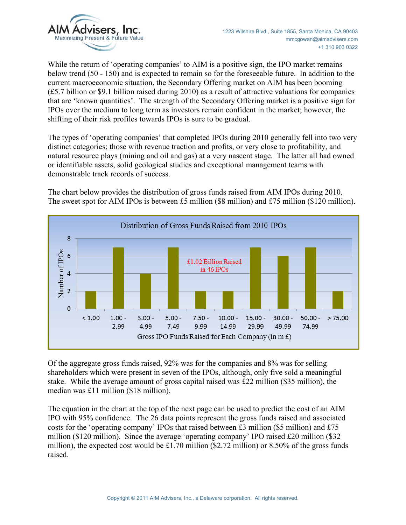

While the return of 'operating companies' to AIM is a positive sign, the IPO market remains below trend (50 - 150) and is expected to remain so for the foreseeable future. In addition to the current macroeconomic situation, the Secondary Offering market on AIM has been booming (£5.7 billion or \$9.1 billion raised during 2010) as a result of attractive valuations for companies that are 'known quantities'. The strength of the Secondary Offering market is a positive sign for IPOs over the medium to long term as investors remain confident in the market; however, the shifting of their risk profiles towards IPOs is sure to be gradual.

The types of 'operating companies' that completed IPOs during 2010 generally fell into two very distinct categories; those with revenue traction and profits, or very close to profitability, and natural resource plays (mining and oil and gas) at a very nascent stage. The latter all had owned or identifiable assets, solid geological studies and exceptional management teams with demonstrable track records of success.

The chart below provides the distribution of gross funds raised from AIM IPOs during 2010. The sweet spot for AIM IPOs is between £5 million (\$8 million) and £75 million (\$120 million).



Of the aggregate gross funds raised, 92% was for the companies and 8% was for selling shareholders which were present in seven of the IPOs, although, only five sold a meaningful stake. While the average amount of gross capital raised was £22 million (\$35 million), the median was £11 million (\$18 million).

The equation in the chart at the top of the next page can be used to predict the cost of an AIM IPO with 95% confidence. The 26 data points represent the gross funds raised and associated costs for the 'operating company' IPOs that raised between £3 million (\$5 million) and £75 million (\$120 million). Since the average 'operating company' IPO raised £20 million (\$32 million), the expected cost would be £1.70 million (\$2.72 million) or 8.50% of the gross funds raised.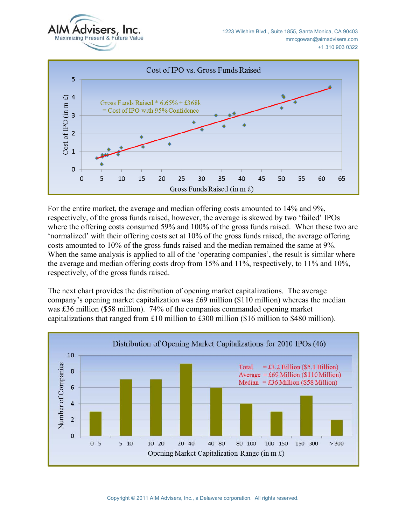



For the entire market, the average and median offering costs amounted to 14% and 9%, respectively, of the gross funds raised, however, the average is skewed by two 'failed' IPOs where the offering costs consumed 59% and 100% of the gross funds raised. When these two are 'normalized' with their offering costs set at 10% of the gross funds raised, the average offering costs amounted to 10% of the gross funds raised and the median remained the same at 9%. When the same analysis is applied to all of the 'operating companies', the result is similar where the average and median offering costs drop from 15% and 11%, respectively, to 11% and 10%, respectively, of the gross funds raised.

The next chart provides the distribution of opening market capitalizations. The average company's opening market capitalization was £69 million (\$110 million) whereas the median was £36 million (\$58 million). 74% of the companies commanded opening market capitalizations that ranged from £10 million to £300 million (\$16 million to \$480 million).

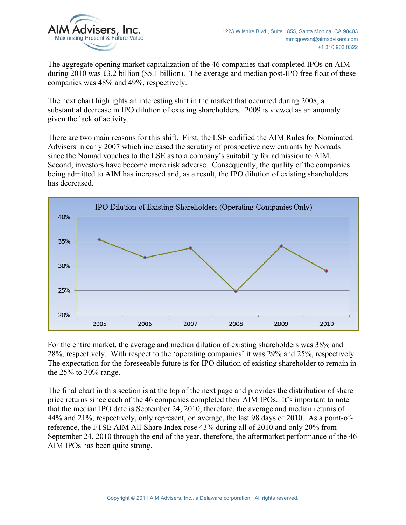

The aggregate opening market capitalization of the 46 companies that completed IPOs on AIM during 2010 was £3.2 billion (\$5.1 billion). The average and median post-IPO free float of these companies was 48% and 49%, respectively.

The next chart highlights an interesting shift in the market that occurred during 2008, a substantial decrease in IPO dilution of existing shareholders. 2009 is viewed as an anomaly given the lack of activity.

There are two main reasons for this shift. First, the LSE codified the AIM Rules for Nominated Advisers in early 2007 which increased the scrutiny of prospective new entrants by Nomads since the Nomad vouches to the LSE as to a company's suitability for admission to AIM. Second, investors have become more risk adverse. Consequently, the quality of the companies being admitted to AIM has increased and, as a result, the IPO dilution of existing shareholders has decreased.



For the entire market, the average and median dilution of existing shareholders was 38% and 28%, respectively. With respect to the 'operating companies' it was 29% and 25%, respectively. The expectation for the foreseeable future is for IPO dilution of existing shareholder to remain in the 25% to 30% range.

The final chart in this section is at the top of the next page and provides the distribution of share price returns since each of the 46 companies completed their AIM IPOs. It's important to note that the median IPO date is September 24, 2010, therefore, the average and median returns of 44% and 21%, respectively, only represent, on average, the last 98 days of 2010. As a point-ofreference, the FTSE AIM All-Share Index rose 43% during all of 2010 and only 20% from September 24, 2010 through the end of the year, therefore, the aftermarket performance of the 46 AIM IPOs has been quite strong.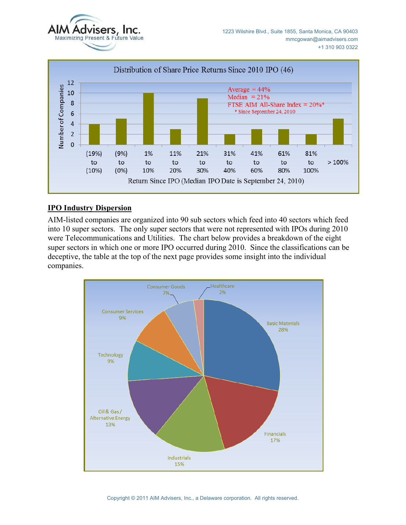



#### **IPO Industry Dispersion**

AIM-listed companies are organized into 90 sub sectors which feed into 40 sectors which feed into 10 super sectors. The only super sectors that were not represented with IPOs during 2010 were Telecommunications and Utilities. The chart below provides a breakdown of the eight super sectors in which one or more IPO occurred during 2010. Since the classifications can be deceptive, the table at the top of the next page provides some insight into the individual companies.

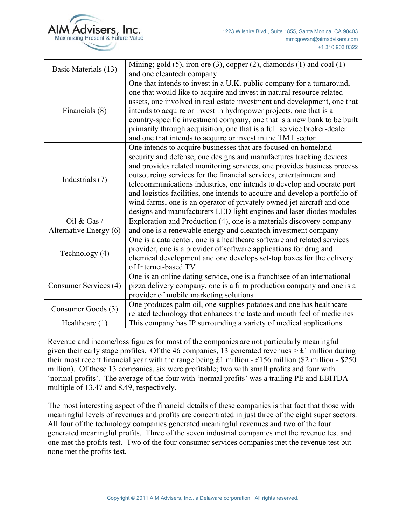

| Basic Materials (13)   | Mining; gold $(5)$ , iron ore $(3)$ , copper $(2)$ , diamonds $(1)$ and coal $(1)$<br>and one cleantech company |  |  |
|------------------------|-----------------------------------------------------------------------------------------------------------------|--|--|
|                        |                                                                                                                 |  |  |
|                        | One that intends to invest in a U.K. public company for a turnaround,                                           |  |  |
|                        | one that would like to acquire and invest in natural resource related                                           |  |  |
|                        | assets, one involved in real estate investment and development, one that                                        |  |  |
| Financials (8)         | intends to acquire or invest in hydropower projects, one that is a                                              |  |  |
|                        | country-specific investment company, one that is a new bank to be built                                         |  |  |
|                        | primarily through acquisition, one that is a full service broker-dealer                                         |  |  |
|                        | and one that intends to acquire or invest in the TMT sector                                                     |  |  |
|                        | One intends to acquire businesses that are focused on homeland                                                  |  |  |
|                        | security and defense, one designs and manufactures tracking devices                                             |  |  |
|                        | and provides related monitoring services, one provides business process                                         |  |  |
|                        | outsourcing services for the financial services, entertainment and                                              |  |  |
| Industrials (7)        | telecommunications industries, one intends to develop and operate port                                          |  |  |
|                        | and logistics facilities, one intends to acquire and develop a portfolio of                                     |  |  |
|                        | wind farms, one is an operator of privately owned jet aircraft and one                                          |  |  |
|                        |                                                                                                                 |  |  |
|                        | designs and manufacturers LED light engines and laser diodes modules                                            |  |  |
| Oil & Gas $/$          | Exploration and Production (4), one is a materials discovery company                                            |  |  |
| Alternative Energy (6) | and one is a renewable energy and cleantech investment company                                                  |  |  |
|                        | One is a data center, one is a healthcare software and related services                                         |  |  |
| Technology (4)         | provider, one is a provider of software applications for drug and                                               |  |  |
|                        | chemical development and one develops set-top boxes for the delivery                                            |  |  |
|                        | of Internet-based TV                                                                                            |  |  |
|                        | One is an online dating service, one is a franchisee of an international                                        |  |  |
| Consumer Services (4)  | pizza delivery company, one is a film production company and one is a                                           |  |  |
|                        | provider of mobile marketing solutions                                                                          |  |  |
|                        | One produces palm oil, one supplies potatoes and one has healthcare                                             |  |  |
| Consumer Goods (3)     | related technology that enhances the taste and mouth feel of medicines                                          |  |  |
| Healthcare $(1)$       | This company has IP surrounding a variety of medical applications                                               |  |  |

Revenue and income/loss figures for most of the companies are not particularly meaningful given their early stage profiles. Of the 46 companies, 13 generated revenues  $> \pounds 1$  million during their most recent financial year with the range being £1 million - £156 million (\$2 million - \$250 million). Of those 13 companies, six were profitable; two with small profits and four with 'normal profits'. The average of the four with 'normal profits' was a trailing PE and EBITDA multiple of 13.47 and 8.49, respectively.

The most interesting aspect of the financial details of these companies is that fact that those with meaningful levels of revenues and profits are concentrated in just three of the eight super sectors. All four of the technology companies generated meaningful revenues and two of the four generated meaningful profits. Three of the seven industrial companies met the revenue test and one met the profits test. Two of the four consumer services companies met the revenue test but none met the profits test.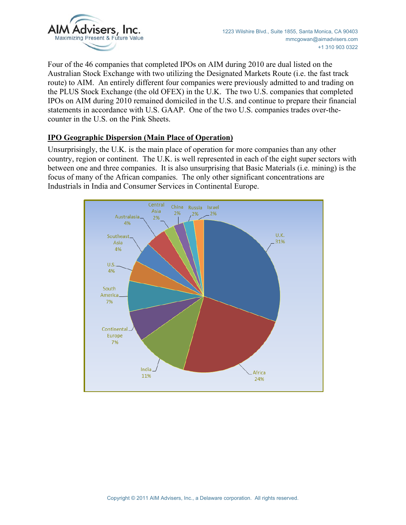

Four of the 46 companies that completed IPOs on AIM during 2010 are dual listed on the Australian Stock Exchange with two utilizing the Designated Markets Route (i.e. the fast track route) to AIM. An entirely different four companies were previously admitted to and trading on the PLUS Stock Exchange (the old OFEX) in the U.K. The two U.S. companies that completed IPOs on AIM during 2010 remained domiciled in the U.S. and continue to prepare their financial statements in accordance with U.S. GAAP. One of the two U.S. companies trades over-thecounter in the U.S. on the Pink Sheets.

#### **IPO Geographic Dispersion (Main Place of Operation)**

Unsurprisingly, the U.K. is the main place of operation for more companies than any other country, region or continent. The U.K. is well represented in each of the eight super sectors with between one and three companies. It is also unsurprising that Basic Materials (i.e. mining) is the focus of many of the African companies. The only other significant concentrations are Industrials in India and Consumer Services in Continental Europe.

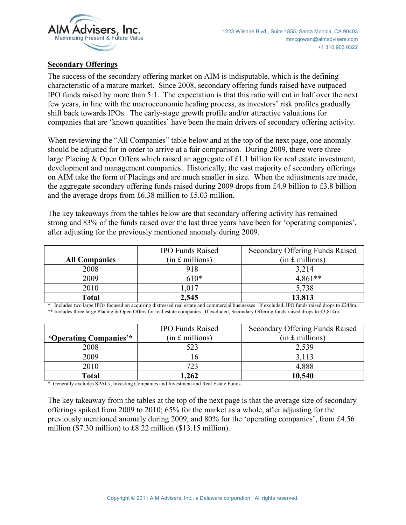

#### **Secondary Offerings**

The success of the secondary offering market on AIM is indisputable, which is the defining characteristic of a mature market. Since 2008, secondary offering funds raised have outpaced IPO funds raised by more than 5:1. The expectation is that this ratio will cut in half over the next few years, in line with the macroeconomic healing process, as investors' risk profiles gradually shift back towards IPOs. The early-stage growth profile and/or attractive valuations for companies that are 'known quantities' have been the main drivers of secondary offering activity.

When reviewing the "All Companies" table below and at the top of the next page, one anomaly should be adjusted for in order to arrive at a fair comparison. During 2009, there were three large Placing & Open Offers which raised an aggregate of £1.1 billion for real estate investment, development and management companies. Historically, the vast majority of secondary offerings on AIM take the form of Placings and are much smaller in size. When the adjustments are made, the aggregate secondary offering funds raised during 2009 drops from £4.9 billion to £3.8 billion and the average drops from £6.38 million to £5.03 million.

The key takeaways from the tables below are that secondary offering activity has remained strong and 83% of the funds raised over the last three years have been for 'operating companies', after adjusting for the previously mentioned anomaly during 2009.

|                      | <b>IPO Funds Raised</b> | Secondary Offering Funds Raised |
|----------------------|-------------------------|---------------------------------|
| <b>All Companies</b> | $(in £$ millions)       | $(in £$ millions)               |
| 2008                 | 918                     | 3.214                           |
| 2009                 | 610*                    | $4.861**$                       |
| 2010                 | .017                    | 5,738                           |
| <b>Total</b>         | 2,545                   | 13,813                          |

\* Includes two large IPOs focused on acquiring distressed real estate and commercial businesses. If excluded, IPO funds raised drops to £248m. \*\* Includes three large Placing & Open Offers for real estate companies. If excluded, Secondary Offering funds raised drops to £3,814m.

|                        | <b>IPO Funds Raised</b> | Secondary Offering Funds Raised |
|------------------------|-------------------------|---------------------------------|
| 'Operating Companies'* | $(in £$ millions)       | $(in f.$ millions)              |
| 2008                   | 523                     | 2,539                           |
| 2009                   |                         | 3,113                           |
| 2010                   | 723                     | 4,888                           |
| <b>Total</b>           | 1,262                   | 10,540                          |

\* Generally excludes SPACs, Investing Companies and Investment and Real Estate Funds.

The key takeaway from the tables at the top of the next page is that the average size of secondary offerings spiked from 2009 to 2010; 65% for the market as a whole, after adjusting for the previously mentioned anomaly during 2009, and 80% for the 'operating companies', from £4.56 million (\$7.30 million) to £8.22 million (\$13.15 million).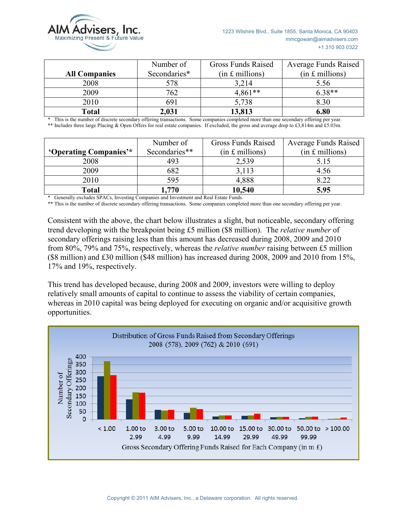

|                      | Number of    | <b>Gross Funds Raised</b> | <b>Average Funds Raised</b> |
|----------------------|--------------|---------------------------|-----------------------------|
| <b>All Companies</b> | Secondaries* | $(in £$ millions)         | $(in £$ millions)           |
| 2008                 | 578          | 3,214                     | 5.56                        |
| 2009                 | 762          | $4,861**$                 | $6.38**$                    |
| 2010                 | 691          | 5,738                     | 8.30                        |
| Total                | 2,031        | 13,813                    | 6.80                        |

\* This is the number of discrete secondary offering transactions. Some companies completed more than one secondary offering per year. \*\* Includes three large Placing & Open Offers for real estate companies. If excluded, the gross and average drop to £3,814m and £5.03m.

|                        | Number of     | Gross Funds Raised | <b>Average Funds Raised</b> |
|------------------------|---------------|--------------------|-----------------------------|
| 'Operating Companies'* | Secondaries** | (in £~millions)    | $(in f.$ millions)          |
| 2008                   | 493           | 2,539              | 5.15                        |
| 2009                   | 682           | 3,113              | 4.56                        |
| 2010                   | 595           | 4,888              | 8.22                        |
| Total                  | 770           | 10,540             | 5.95                        |

\* Generally excludes SPACs, Investing Companies and Investment and Real Estate Funds.

\*\* This is the number of discrete secondary offering transactions. Some companies completed more than one secondary offering per year.

Consistent with the above, the chart below illustrates a slight, but noticeable, secondary offering trend developing with the breakpoint being £5 million (\$8 million). The *relative number* of secondary offerings raising less than this amount has decreased during 2008, 2009 and 2010 from 80%, 79% and 75%, respectively, whereas the *relative number* raising between £5 million (\$8 million) and £30 million (\$48 million) has increased during 2008, 2009 and 2010 from 15%, 17% and 19%, respectively.

This trend has developed because, during 2008 and 2009, investors were willing to deploy relatively small amounts of capital to continue to assess the viability of certain companies, whereas in 2010 capital was being deployed for executing on organic and/or acquisitive growth opportunities.

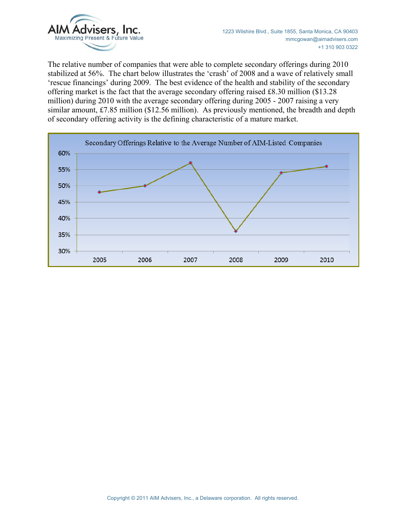

The relative number of companies that were able to complete secondary offerings during 2010 stabilized at 56%. The chart below illustrates the 'crash' of 2008 and a wave of relatively small 'rescue financings' during 2009. The best evidence of the health and stability of the secondary offering market is the fact that the average secondary offering raised £8.30 million (\$13.28 million) during 2010 with the average secondary offering during 2005 - 2007 raising a very similar amount, £7.85 million (\$12.56 million). As previously mentioned, the breadth and depth of secondary offering activity is the defining characteristic of a mature market.

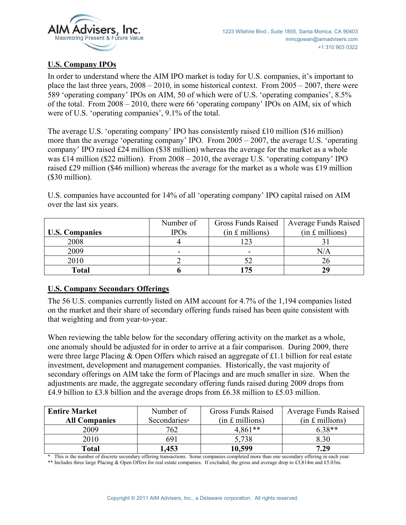

# **U.S. Company IPOs**

In order to understand where the AIM IPO market is today for U.S. companies, it's important to place the last three years,  $2008 - 2010$ , in some historical context. From  $2005 - 2007$ , there were 589 'operating company' IPOs on AIM, 50 of which were of U.S. 'operating companies', 8.5% of the total. From 2008 – 2010, there were 66 'operating company' IPOs on AIM, six of which were of U.S. 'operating companies', 9.1% of the total.

The average U.S. 'operating company' IPO has consistently raised £10 million (\$16 million) more than the average 'operating company' IPO. From 2005 – 2007, the average U.S. 'operating company' IPO raised £24 million (\$38 million) whereas the average for the market as a whole was £14 million (\$22 million). From 2008 – 2010, the average U.S. 'operating company' IPO raised £29 million (\$46 million) whereas the average for the market as a whole was £19 million (\$30 million).

U.S. companies have accounted for 14% of all 'operating company' IPO capital raised on AIM over the last six years.

|                       | Number of   | Gross Funds Raised | <b>Average Funds Raised</b> |
|-----------------------|-------------|--------------------|-----------------------------|
| <b>U.S. Companies</b> | <b>IPOs</b> | $(in £$ millions)  | $(in £$ millions)           |
| 2008                  |             |                    |                             |
| 2009                  | -           |                    | N/A                         |
| 2010                  |             |                    |                             |
| <b>Total</b>          |             |                    | 20                          |

## **U.S. Company Secondary Offerings**

The 56 U.S. companies currently listed on AIM account for 4.7% of the 1,194 companies listed on the market and their share of secondary offering funds raised has been quite consistent with that weighting and from year-to-year.

When reviewing the table below for the secondary offering activity on the market as a whole, one anomaly should be adjusted for in order to arrive at a fair comparison. During 2009, there were three large Placing & Open Offers which raised an aggregate of £1.1 billion for real estate investment, development and management companies. Historically, the vast majority of secondary offerings on AIM take the form of Placings and are much smaller in size. When the adjustments are made, the aggregate secondary offering funds raised during 2009 drops from £4.9 billion to £3.8 billion and the average drops from £6.38 million to £5.03 million.

| <b>Entire Market</b> | Number of    | <b>Gross Funds Raised</b> | <b>Average Funds Raised</b> |
|----------------------|--------------|---------------------------|-----------------------------|
| <b>All Companies</b> | Secondaries* | $(in £$ millions)         | $(in £$ millions)           |
| 2009                 | 762          | $4.861**$                 | $6.38**$                    |
| 2010                 | 691          | 5,738                     | 8.30                        |
| Total                | 1,453        | 10,599                    | 7.29                        |

\* This is the number of discrete secondary offering transactions. Some companies completed more than one secondary offering in each year.

\*\* Includes three large Placing & Open Offers for real estate companies. If excluded, the gross and average drop to £3,814m and £5.03m.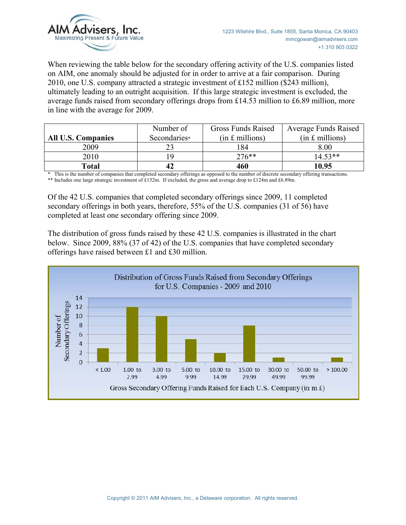

When reviewing the table below for the secondary offering activity of the U.S. companies listed on AIM, one anomaly should be adjusted for in order to arrive at a fair comparison. During 2010, one U.S. company attracted a strategic investment of £152 million (\$243 million), ultimately leading to an outright acquisition. If this large strategic investment is excluded, the average funds raised from secondary offerings drops from £14.53 million to £6.89 million, more in line with the average for 2009.

|                           | Number of    | <b>Gross Funds Raised</b> | <b>Average Funds Raised</b> |
|---------------------------|--------------|---------------------------|-----------------------------|
| <b>All U.S. Companies</b> | Secondaries* | $(in £$ millions)         | $(in f.$ millions)          |
| 2009                      |              | 184                       | 8.00                        |
| 2010                      |              | $276**$                   | $14.53**$                   |
| Total                     |              | 460                       | 10.95                       |

\* This is the number of companies that completed secondary offerings as opposed to the number of discrete secondary offering transactions. \*\* Includes one large strategic investment of £152m. If excluded, the gross and average drop to £124m and £6.89m.

Of the 42 U.S. companies that completed secondary offerings since 2009, 11 completed secondary offerings in both years, therefore, 55% of the U.S. companies (31 of 56) have completed at least one secondary offering since 2009.

The distribution of gross funds raised by these 42 U.S. companies is illustrated in the chart below. Since 2009, 88% (37 of 42) of the U.S. companies that have completed secondary offerings have raised between £1 and £30 million.

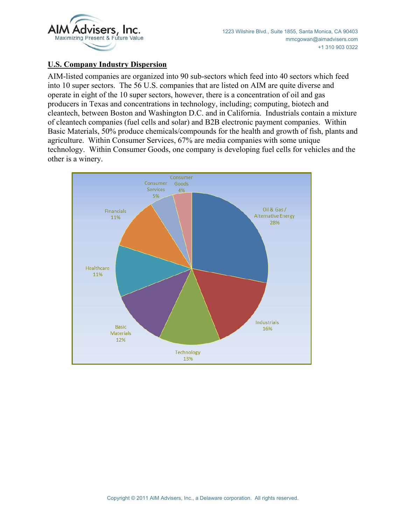

### **U.S. Company Industry Dispersion**

AIM-listed companies are organized into 90 sub-sectors which feed into 40 sectors which feed into 10 super sectors. The 56 U.S. companies that are listed on AIM are quite diverse and operate in eight of the 10 super sectors, however, there is a concentration of oil and gas producers in Texas and concentrations in technology, including; computing, biotech and cleantech, between Boston and Washington D.C. and in California. Industrials contain a mixture of cleantech companies (fuel cells and solar) and B2B electronic payment companies. Within Basic Materials, 50% produce chemicals/compounds for the health and growth of fish, plants and agriculture. Within Consumer Services, 67% are media companies with some unique technology. Within Consumer Goods, one company is developing fuel cells for vehicles and the other is a winery.